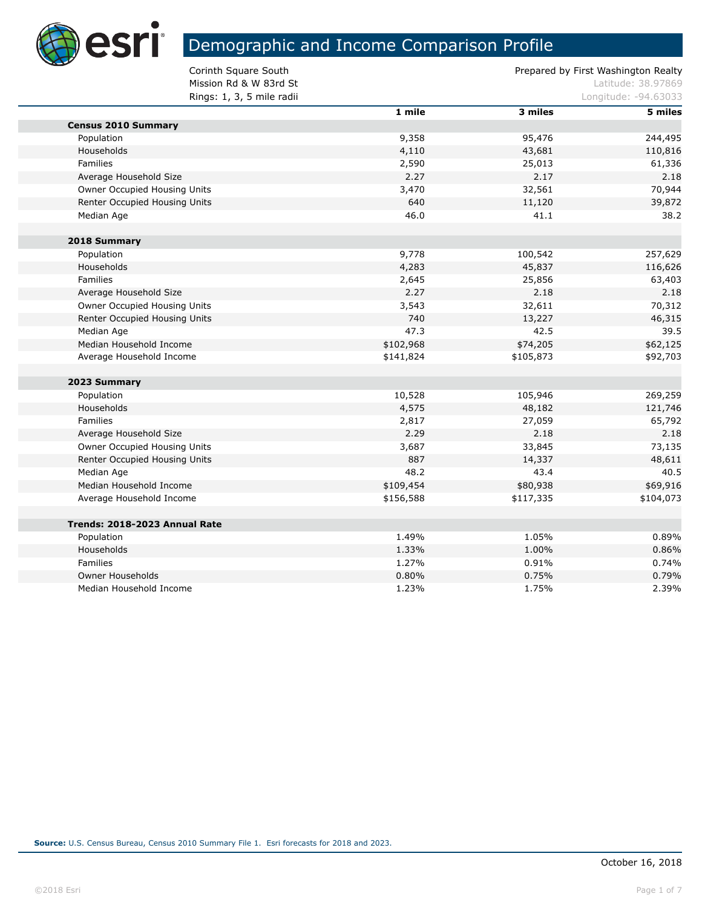

г

# Demographic and Income Comparison Profile

Mission Rd & W 83rd St Latitude: 38.97869<br>
Rings: 1. 3. 5 mile radii Rings:  $1, 3, 5$  mile radii

| ווטסו סוווור ,ט , ב .נעווורו  |           |           | Lungituut. 27.00000 |
|-------------------------------|-----------|-----------|---------------------|
|                               | 1 mile    | 3 miles   | 5 miles             |
| <b>Census 2010 Summary</b>    |           |           |                     |
| Population                    | 9,358     | 95,476    | 244,495             |
| Households                    | 4,110     | 43,681    | 110,816             |
| Families                      | 2,590     | 25,013    | 61,336              |
| Average Household Size        | 2.27      | 2.17      | 2.18                |
| Owner Occupied Housing Units  | 3,470     | 32,561    | 70,944              |
| Renter Occupied Housing Units | 640       | 11,120    | 39,872              |
| Median Age                    | 46.0      | 41.1      | 38.2                |
| 2018 Summary                  |           |           |                     |
| Population                    | 9,778     | 100,542   | 257,629             |
| Households                    | 4,283     | 45,837    | 116,626             |
| Families                      | 2,645     | 25,856    | 63,403              |
| Average Household Size        | 2.27      | 2.18      | 2.18                |
| Owner Occupied Housing Units  | 3,543     | 32,611    | 70,312              |
| Renter Occupied Housing Units | 740       | 13,227    | 46,315              |
| Median Age                    | 47.3      | 42.5      | 39.5                |
| Median Household Income       | \$102,968 | \$74,205  | \$62,125            |
| Average Household Income      | \$141,824 | \$105,873 | \$92,703            |
| 2023 Summary                  |           |           |                     |
| Population                    | 10,528    | 105,946   | 269,259             |
| Households                    | 4,575     | 48,182    | 121,746             |
| Families                      | 2,817     | 27,059    | 65,792              |
| Average Household Size        | 2.29      | 2.18      | 2.18                |
| Owner Occupied Housing Units  | 3,687     | 33,845    | 73,135              |
| Renter Occupied Housing Units | 887       | 14,337    | 48,611              |
| Median Age                    | 48.2      | 43.4      | 40.5                |
| Median Household Income       | \$109,454 | \$80,938  | \$69,916            |
| Average Household Income      | \$156,588 | \$117,335 | \$104,073           |
| Trends: 2018-2023 Annual Rate |           |           |                     |
| Population                    | 1.49%     | 1.05%     | 0.89%               |
| Households                    | 1.33%     | 1.00%     | 0.86%               |
| Families                      | 1.27%     | 0.91%     | 0.74%               |
| <b>Owner Households</b>       | 0.80%     | 0.75%     | 0.79%               |
| Median Household Income       | 1.23%     | 1.75%     | 2.39%               |
|                               |           |           |                     |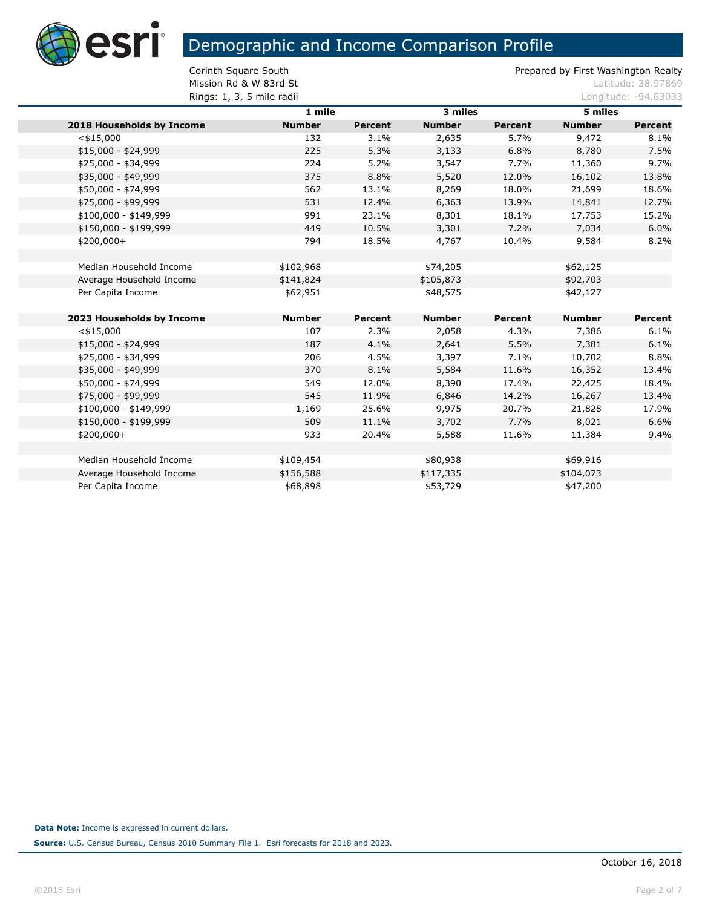

**Mission Rd & W 83rd St Latitude: 38.97869 Rings: 1, 3, 5 mile radii Congression Congress 2.4.63033 Longitude: -94.63033** 

|                           | 1 mile        | 3 miles        |               |                | 5 miles       |                |  |
|---------------------------|---------------|----------------|---------------|----------------|---------------|----------------|--|
| 2018 Households by Income | <b>Number</b> | <b>Percent</b> | <b>Number</b> | <b>Percent</b> | <b>Number</b> | <b>Percent</b> |  |
| $<$ \$15,000              | 132           | 3.1%           | 2,635         | 5.7%           | 9,472         | 8.1%           |  |
| \$15,000 - \$24,999       | 225           | 5.3%           | 3,133         | 6.8%           | 8,780         | 7.5%           |  |
| \$25,000 - \$34,999       | 224           | 5.2%           | 3,547         | 7.7%           | 11,360        | 9.7%           |  |
| \$35,000 - \$49,999       | 375           | 8.8%           | 5,520         | 12.0%          | 16,102        | 13.8%          |  |
| \$50,000 - \$74,999       | 562           | 13.1%          | 8,269         | 18.0%          | 21,699        | 18.6%          |  |
| \$75,000 - \$99,999       | 531           | 12.4%          | 6,363         | 13.9%          | 14,841        | 12.7%          |  |
| $$100,000 - $149,999$     | 991           | 23.1%          | 8,301         | 18.1%          | 17,753        | 15.2%          |  |
| \$150,000 - \$199,999     | 449           | 10.5%          | 3,301         | 7.2%           | 7,034         | 6.0%           |  |
| $$200,000+$               | 794           | 18.5%          | 4,767         | 10.4%          | 9,584         | 8.2%           |  |
|                           |               |                |               |                |               |                |  |
| Median Household Income   | \$102,968     |                | \$74,205      |                | \$62,125      |                |  |
| Average Household Income  | \$141,824     |                | \$105,873     |                | \$92,703      |                |  |
| Per Capita Income         | \$62,951      |                | \$48,575      |                | \$42,127      |                |  |
|                           |               |                |               |                |               |                |  |
| 2023 Households by Income | <b>Number</b> | Percent        | <b>Number</b> | Percent        | <b>Number</b> | Percent        |  |
| $<$ \$15,000              | 107           | 2.3%           | 2,058         | 4.3%           | 7,386         | 6.1%           |  |
| $$15,000 - $24,999$       | 187           | 4.1%           | 2,641         | 5.5%           | 7,381         | 6.1%           |  |
| \$25,000 - \$34,999       | 206           | 4.5%           | 3,397         | 7.1%           | 10,702        | 8.8%           |  |
| \$35,000 - \$49,999       | 370           | 8.1%           | 5,584         | 11.6%          | 16,352        | 13.4%          |  |
| \$50,000 - \$74,999       | 549           | 12.0%          | 8,390         | 17.4%          | 22,425        | 18.4%          |  |
| \$75,000 - \$99,999       | 545           | 11.9%          | 6,846         | 14.2%          | 16,267        | 13.4%          |  |
| $$100,000 - $149,999$     | 1,169         | 25.6%          | 9,975         | 20.7%          | 21,828        | 17.9%          |  |
| \$150,000 - \$199,999     | 509           | 11.1%          | 3,702         | 7.7%           | 8,021         | 6.6%           |  |
| $$200,000+$               | 933           | 20.4%          | 5,588         | 11.6%          | 11,384        | 9.4%           |  |
|                           |               |                |               |                |               |                |  |
| Median Household Income   | \$109,454     |                | \$80,938      |                | \$69,916      |                |  |
| Average Household Income  | \$156,588     |                | \$117,335     |                | \$104,073     |                |  |
| Per Capita Income         | \$68,898      |                | \$53,729      |                | \$47,200      |                |  |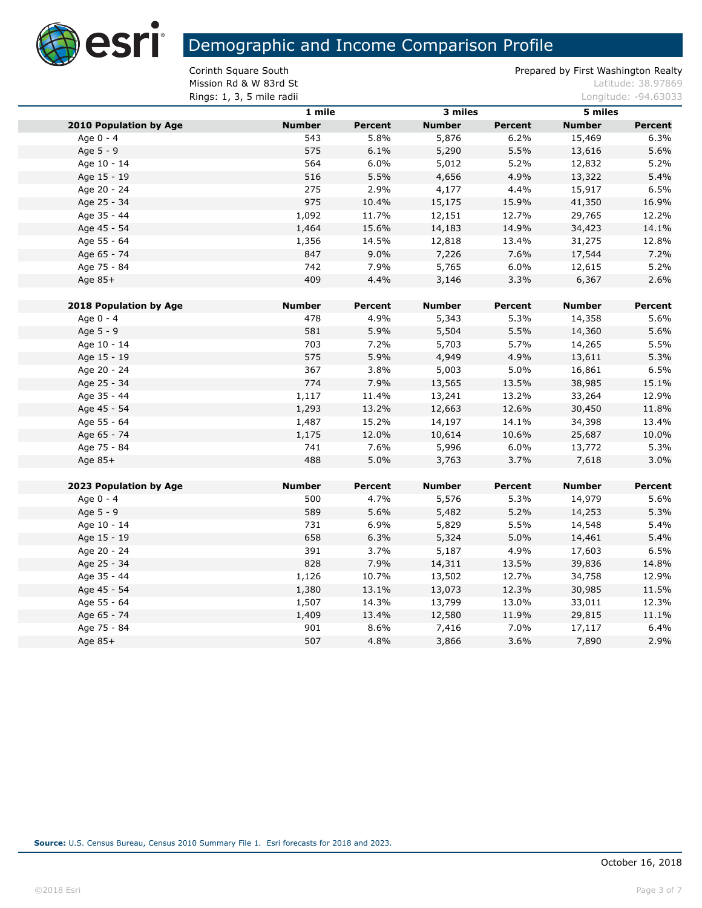

**Mission Rd & W 83rd St Latitude: 38.97869 Rings: 1, 3, 5 mile radii** Longitude: -94.63033

|                               | 1 mile        |                |               | 3 miles        |               | 5 miles        |  |
|-------------------------------|---------------|----------------|---------------|----------------|---------------|----------------|--|
| <b>2010 Population by Age</b> | <b>Number</b> | <b>Percent</b> | <b>Number</b> | <b>Percent</b> | <b>Number</b> | <b>Percent</b> |  |
| Age 0 - 4                     | 543           | 5.8%           | 5,876         | 6.2%           | 15,469        | 6.3%           |  |
| Age 5 - 9                     | 575           | 6.1%           | 5,290         | 5.5%           | 13,616        | 5.6%           |  |
| Age 10 - 14                   | 564           | 6.0%           | 5,012         | 5.2%           | 12,832        | 5.2%           |  |
| Age 15 - 19                   | 516           | 5.5%           | 4,656         | 4.9%           | 13,322        | 5.4%           |  |
| Age 20 - 24                   | 275           | 2.9%           | 4,177         | 4.4%           | 15,917        | 6.5%           |  |
| Age 25 - 34                   | 975           | 10.4%          | 15,175        | 15.9%          | 41,350        | 16.9%          |  |
| Age 35 - 44                   | 1,092         | 11.7%          | 12,151        | 12.7%          | 29,765        | 12.2%          |  |
| Age 45 - 54                   | 1,464         | 15.6%          | 14,183        | 14.9%          | 34,423        | 14.1%          |  |
| Age 55 - 64                   | 1,356         | 14.5%          | 12,818        | 13.4%          | 31,275        | 12.8%          |  |
| Age 65 - 74                   | 847           | 9.0%           | 7,226         | 7.6%           | 17,544        | 7.2%           |  |
| Age 75 - 84                   | 742           | 7.9%           | 5,765         | 6.0%           | 12,615        | 5.2%           |  |
| Age 85+                       | 409           | 4.4%           | 3,146         | 3.3%           | 6,367         | 2.6%           |  |
|                               |               |                |               |                |               |                |  |
| <b>2018 Population by Age</b> | <b>Number</b> | <b>Percent</b> | <b>Number</b> | <b>Percent</b> | <b>Number</b> | Percent        |  |
| Age 0 - 4                     | 478           | 4.9%           | 5,343         | 5.3%           | 14,358        | 5.6%           |  |
| Age 5 - 9                     | 581           | 5.9%           | 5,504         | 5.5%           | 14,360        | 5.6%           |  |
| Age 10 - 14                   | 703           | 7.2%           | 5,703         | 5.7%           | 14,265        | 5.5%           |  |
| Age 15 - 19                   | 575           | 5.9%           | 4,949         | 4.9%           | 13,611        | 5.3%           |  |
| Age 20 - 24                   | 367           | 3.8%           | 5,003         | 5.0%           | 16,861        | 6.5%           |  |
| Age 25 - 34                   | 774           | 7.9%           | 13,565        | 13.5%          | 38,985        | 15.1%          |  |
| Age 35 - 44                   | 1,117         | 11.4%          | 13,241        | 13.2%          | 33,264        | 12.9%          |  |
| Age 45 - 54                   | 1,293         | 13.2%          | 12,663        | 12.6%          | 30,450        | 11.8%          |  |
| Age 55 - 64                   | 1,487         | 15.2%          | 14,197        | 14.1%          | 34,398        | 13.4%          |  |
| Age 65 - 74                   | 1,175         | 12.0%          | 10,614        | 10.6%          | 25,687        | 10.0%          |  |
| Age 75 - 84                   | 741           | 7.6%           | 5,996         | 6.0%           | 13,772        | 5.3%           |  |
| Age 85+                       | 488           | 5.0%           | 3,763         | 3.7%           | 7,618         | 3.0%           |  |
| 2023 Population by Age        | <b>Number</b> | <b>Percent</b> | <b>Number</b> | <b>Percent</b> | <b>Number</b> | Percent        |  |
| Age 0 - 4                     | 500           | 4.7%           | 5,576         | 5.3%           | 14,979        | 5.6%           |  |
| Age 5 - 9                     | 589           | 5.6%           | 5,482         | 5.2%           | 14,253        | 5.3%           |  |
| Age 10 - 14                   | 731           | 6.9%           | 5,829         | 5.5%           | 14,548        | 5.4%           |  |
| Age 15 - 19                   | 658           | 6.3%           | 5,324         | 5.0%           | 14,461        | 5.4%           |  |
| Age 20 - 24                   | 391           | 3.7%           | 5,187         | 4.9%           | 17,603        | 6.5%           |  |
| Age 25 - 34                   | 828           | 7.9%           | 14,311        | 13.5%          | 39,836        | 14.8%          |  |
| Age 35 - 44                   | 1,126         | 10.7%          | 13,502        | 12.7%          | 34,758        | 12.9%          |  |
| Age 45 - 54                   | 1,380         | 13.1%          | 13,073        | 12.3%          | 30,985        | 11.5%          |  |
| Age 55 - 64                   | 1,507         | 14.3%          | 13,799        | 13.0%          | 33,011        | 12.3%          |  |
| Age 65 - 74                   | 1,409         | 13.4%          | 12,580        | 11.9%          | 29,815        | 11.1%          |  |
| Age 75 - 84                   | 901           | 8.6%           | 7,416         | 7.0%           | 17,117        | 6.4%           |  |
| Age $85+$                     | 507           | 4.8%           | 3,866         | 3.6%           | 7,890         | 2.9%           |  |
|                               |               |                |               |                |               |                |  |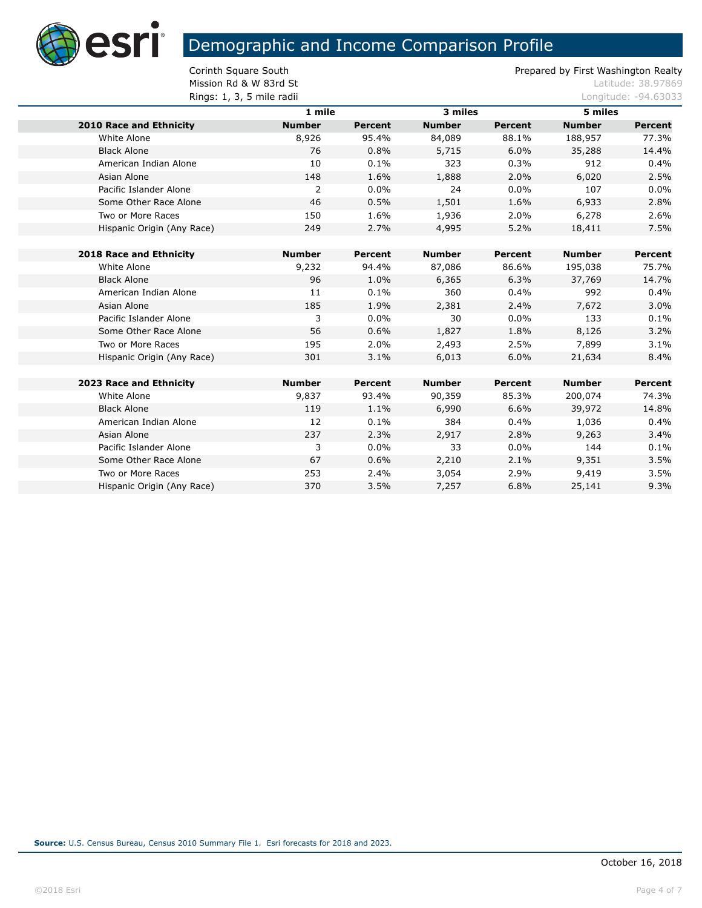

**Mission Rd & W 83rd St Latitude: 38.97869** 

| Rings: 1, 3, 5 mile radii      |               |                |               |                |               | Longitude: -94.63033 |  |
|--------------------------------|---------------|----------------|---------------|----------------|---------------|----------------------|--|
|                                | 1 mile        |                | 3 miles       |                | 5 miles       |                      |  |
| <b>2010 Race and Ethnicity</b> | <b>Number</b> | <b>Percent</b> | <b>Number</b> | <b>Percent</b> | <b>Number</b> | <b>Percent</b>       |  |
| White Alone                    | 8,926         | 95.4%          | 84,089        | 88.1%          | 188,957       | 77.3%                |  |
| <b>Black Alone</b>             | 76            | 0.8%           | 5,715         | 6.0%           | 35,288        | 14.4%                |  |
| American Indian Alone          | 10            | 0.1%           | 323           | 0.3%           | 912           | 0.4%                 |  |
| Asian Alone                    | 148           | 1.6%           | 1,888         | 2.0%           | 6,020         | 2.5%                 |  |
| Pacific Islander Alone         | 2             | 0.0%           | 24            | $0.0\%$        | 107           | 0.0%                 |  |
| Some Other Race Alone          | 46            | 0.5%           | 1,501         | 1.6%           | 6,933         | 2.8%                 |  |
| Two or More Races              | 150           | 1.6%           | 1,936         | 2.0%           | 6,278         | 2.6%                 |  |
| Hispanic Origin (Any Race)     | 249           | 2.7%           | 4,995         | 5.2%           | 18,411        | 7.5%                 |  |
|                                |               |                |               |                |               |                      |  |
| <b>2018 Race and Ethnicity</b> | <b>Number</b> | Percent        | <b>Number</b> | Percent        | <b>Number</b> | <b>Percent</b>       |  |
| White Alone                    | 9,232         | 94.4%          | 87,086        | 86.6%          | 195,038       | 75.7%                |  |
| <b>Black Alone</b>             | 96            | 1.0%           | 6,365         | 6.3%           | 37,769        | 14.7%                |  |
| American Indian Alone          | 11            | 0.1%           | 360           | 0.4%           | 992           | 0.4%                 |  |
| Asian Alone                    | 185           | 1.9%           | 2,381         | 2.4%           | 7,672         | 3.0%                 |  |
| Pacific Islander Alone         | 3             | 0.0%           | 30            | $0.0\%$        | 133           | 0.1%                 |  |
| Some Other Race Alone          | 56            | 0.6%           | 1,827         | 1.8%           | 8,126         | 3.2%                 |  |
| Two or More Races              | 195           | 2.0%           | 2,493         | 2.5%           | 7,899         | 3.1%                 |  |
| Hispanic Origin (Any Race)     | 301           | 3.1%           | 6,013         | 6.0%           | 21,634        | 8.4%                 |  |
|                                |               |                |               |                |               |                      |  |
| 2023 Race and Ethnicity        | <b>Number</b> | Percent        | <b>Number</b> | Percent        | <b>Number</b> | Percent              |  |
| White Alone                    | 9,837         | 93.4%          | 90,359        | 85.3%          | 200,074       | 74.3%                |  |
| <b>Black Alone</b>             | 119           | 1.1%           | 6,990         | 6.6%           | 39,972        | 14.8%                |  |
| American Indian Alone          | 12            | 0.1%           | 384           | 0.4%           | 1,036         | 0.4%                 |  |
| Asian Alone                    | 237           | 2.3%           | 2,917         | 2.8%           | 9,263         | 3.4%                 |  |
| Pacific Islander Alone         | 3             | 0.0%           | 33            | $0.0\%$        | 144           | 0.1%                 |  |
| Some Other Race Alone          | 67            | 0.6%           | 2,210         | 2.1%           | 9,351         | 3.5%                 |  |
| Two or More Races              | 253           | 2.4%           | 3,054         | 2.9%           | 9,419         | 3.5%                 |  |
| Hispanic Origin (Any Race)     | 370           | 3.5%           | 7,257         | 6.8%           | 25,141        | 9.3%                 |  |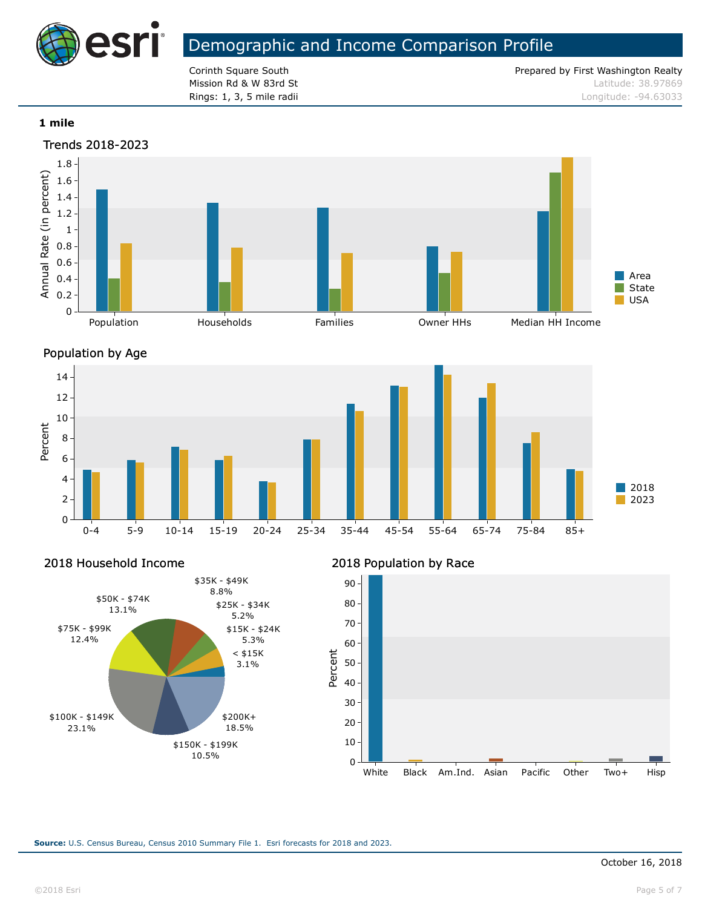

Corinth Square South **Prepared by First Washington Realty** Prepared by First Washington Realty **Mission Rd & W 83rd St Latitude: 38.97869 Rings: 1, 3, 5 mile radii Longitude: -94.63033** Longitude: -94.63033

#### **1 mile**





2018 Household Income



#### 2018 Population by Race

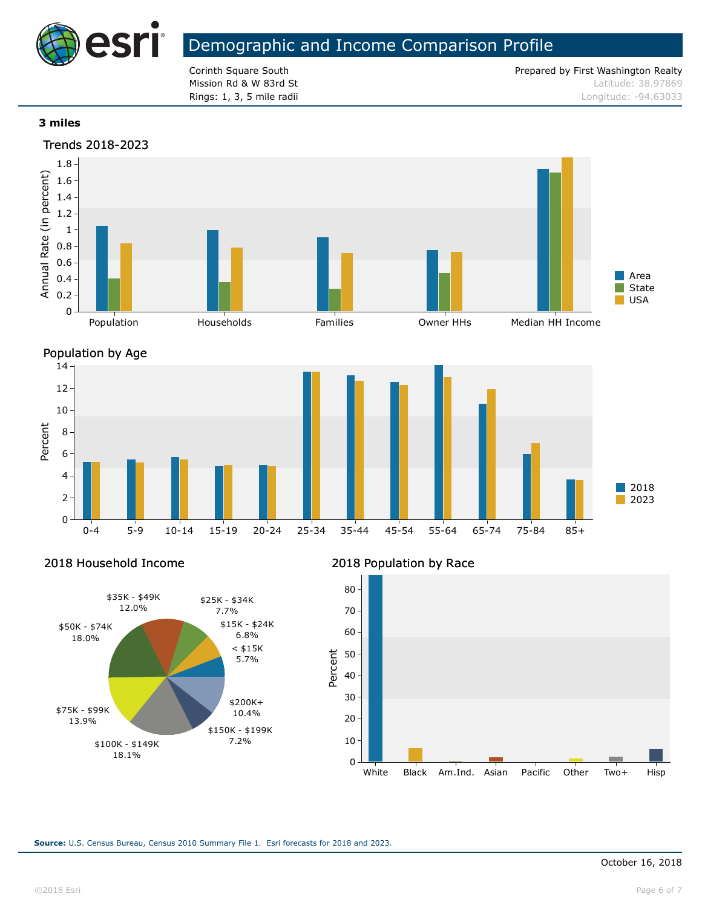

Corinth Square South **Prepared by First Washington Realty** Prepared by First Washington Realty **Mission Rd & W 83rd St Latitude: 38.97869 Rings: 1, 3, 5 mile radii Longitude: -94.63033** Longitude: -94.63033

#### **3 miles**





Percent

2018 Household Income



#### 2018 Population by Race